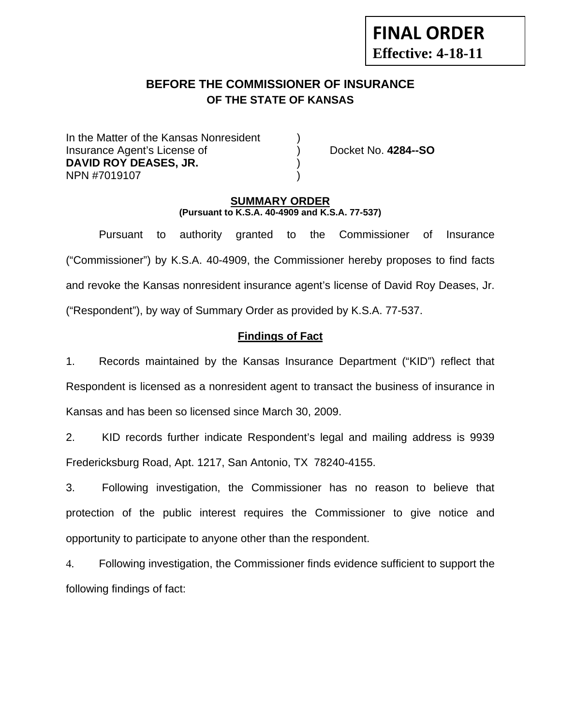# **FINAL ORDER Effective: 4-18-11**

# **BEFORE THE COMMISSIONER OF INSURANCE OF THE STATE OF KANSAS**

In the Matter of the Kansas Nonresident Insurance Agent's License of ) Docket No. **4284--SO DAVID ROY DEASES, JR.** ) NPN #7019107 )

### **SUMMARY ORDER (Pursuant to K.S.A. 40-4909 and K.S.A. 77-537)**

 Pursuant to authority granted to the Commissioner of Insurance ("Commissioner") by K.S.A. 40-4909, the Commissioner hereby proposes to find facts and revoke the Kansas nonresident insurance agent's license of David Roy Deases, Jr. ("Respondent"), by way of Summary Order as provided by K.S.A. 77-537.

# **Findings of Fact**

1. Records maintained by the Kansas Insurance Department ("KID") reflect that Respondent is licensed as a nonresident agent to transact the business of insurance in Kansas and has been so licensed since March 30, 2009.

2. KID records further indicate Respondent's legal and mailing address is 9939 Fredericksburg Road, Apt. 1217, San Antonio, TX 78240-4155.

3. Following investigation, the Commissioner has no reason to believe that protection of the public interest requires the Commissioner to give notice and opportunity to participate to anyone other than the respondent.

4. Following investigation, the Commissioner finds evidence sufficient to support the following findings of fact: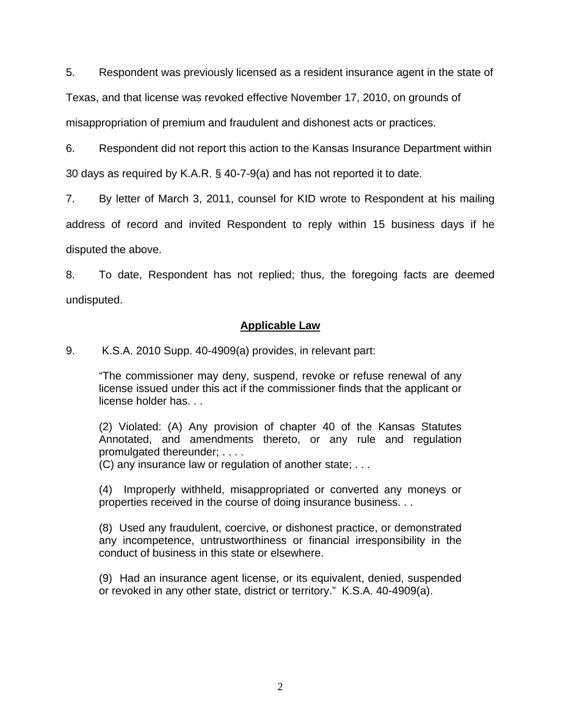5. Respondent was previously licensed as a resident insurance agent in the state of

Texas, and that license was revoked effective November 17, 2010, on grounds of

misappropriation of premium and fraudulent and dishonest acts or practices.

6. Respondent did not report this action to the Kansas Insurance Department within 30 days as required by K.A.R. § 40-7-9(a) and has not reported it to date.

7. By letter of March 3, 2011, counsel for KID wrote to Respondent at his mailing address of record and invited Respondent to reply within 15 business days if he disputed the above.

8. To date, Respondent has not replied; thus, the foregoing facts are deemed undisputed.

### **Applicable Law**

9. K.S.A. 2010 Supp. 40-4909(a) provides, in relevant part:

"The commissioner may deny, suspend, revoke or refuse renewal of any license issued under this act if the commissioner finds that the applicant or license holder has. . .

(2) Violated: (A) Any provision of chapter 40 of the Kansas Statutes Annotated, and amendments thereto, or any rule and regulation promulgated thereunder; . . . .

(C) any insurance law or regulation of another state; . . .

(4) Improperly withheld, misappropriated or converted any moneys or properties received in the course of doing insurance business. . .

(8) Used any fraudulent, coercive, or dishonest practice, or demonstrated any incompetence, untrustworthiness or financial irresponsibility in the conduct of business in this state or elsewhere.

(9) Had an insurance agent license, or its equivalent, denied, suspended or revoked in any other state, district or territory." K.S.A. 40-4909(a).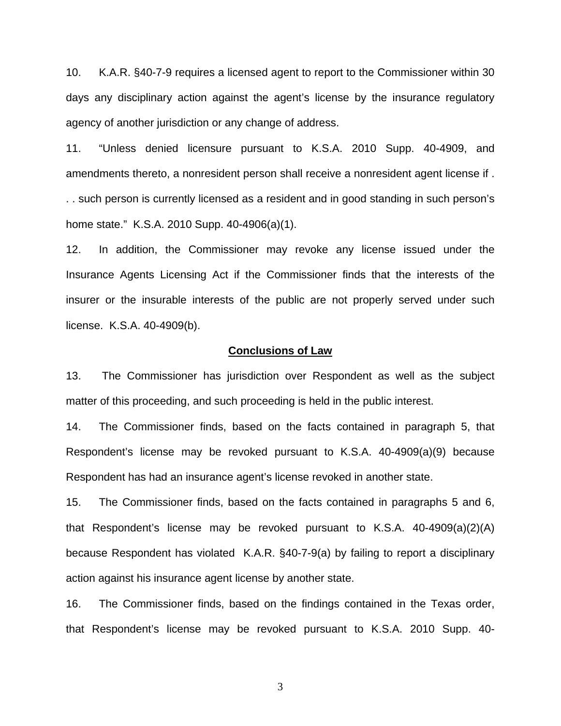10. K.A.R. §40-7-9 requires a licensed agent to report to the Commissioner within 30 days any disciplinary action against the agent's license by the insurance regulatory agency of another jurisdiction or any change of address.

11. "Unless denied licensure pursuant to K.S.A. 2010 Supp. 40-4909, and amendments thereto, a nonresident person shall receive a nonresident agent license if . . . such person is currently licensed as a resident and in good standing in such person's home state." K.S.A. 2010 Supp. 40-4906(a)(1).

12. In addition, the Commissioner may revoke any license issued under the Insurance Agents Licensing Act if the Commissioner finds that the interests of the insurer or the insurable interests of the public are not properly served under such license. K.S.A. 40-4909(b).

#### **Conclusions of Law**

13. The Commissioner has jurisdiction over Respondent as well as the subject matter of this proceeding, and such proceeding is held in the public interest.

14. The Commissioner finds, based on the facts contained in paragraph 5, that Respondent's license may be revoked pursuant to K.S.A. 40-4909(a)(9) because Respondent has had an insurance agent's license revoked in another state.

15. The Commissioner finds, based on the facts contained in paragraphs 5 and 6, that Respondent's license may be revoked pursuant to K.S.A. 40-4909(a)(2)(A) because Respondent has violated K.A.R. §40-7-9(a) by failing to report a disciplinary action against his insurance agent license by another state.

16. The Commissioner finds, based on the findings contained in the Texas order, that Respondent's license may be revoked pursuant to K.S.A. 2010 Supp. 40-

3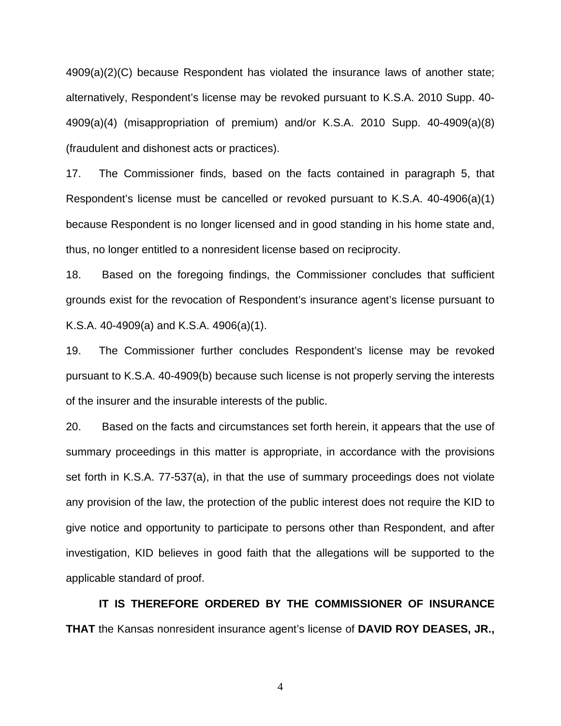4909(a)(2)(C) because Respondent has violated the insurance laws of another state; alternatively, Respondent's license may be revoked pursuant to K.S.A. 2010 Supp. 40- 4909(a)(4) (misappropriation of premium) and/or K.S.A. 2010 Supp. 40-4909(a)(8) (fraudulent and dishonest acts or practices).

17. The Commissioner finds, based on the facts contained in paragraph 5, that Respondent's license must be cancelled or revoked pursuant to K.S.A. 40-4906(a)(1) because Respondent is no longer licensed and in good standing in his home state and, thus, no longer entitled to a nonresident license based on reciprocity.

18. Based on the foregoing findings, the Commissioner concludes that sufficient grounds exist for the revocation of Respondent's insurance agent's license pursuant to K.S.A. 40-4909(a) and K.S.A. 4906(a)(1).

19. The Commissioner further concludes Respondent's license may be revoked pursuant to K.S.A. 40-4909(b) because such license is not properly serving the interests of the insurer and the insurable interests of the public.

20. Based on the facts and circumstances set forth herein, it appears that the use of summary proceedings in this matter is appropriate, in accordance with the provisions set forth in K.S.A. 77-537(a), in that the use of summary proceedings does not violate any provision of the law, the protection of the public interest does not require the KID to give notice and opportunity to participate to persons other than Respondent, and after investigation, KID believes in good faith that the allegations will be supported to the applicable standard of proof.

 **IT IS THEREFORE ORDERED BY THE COMMISSIONER OF INSURANCE THAT** the Kansas nonresident insurance agent's license of **DAVID ROY DEASES, JR.,** 

4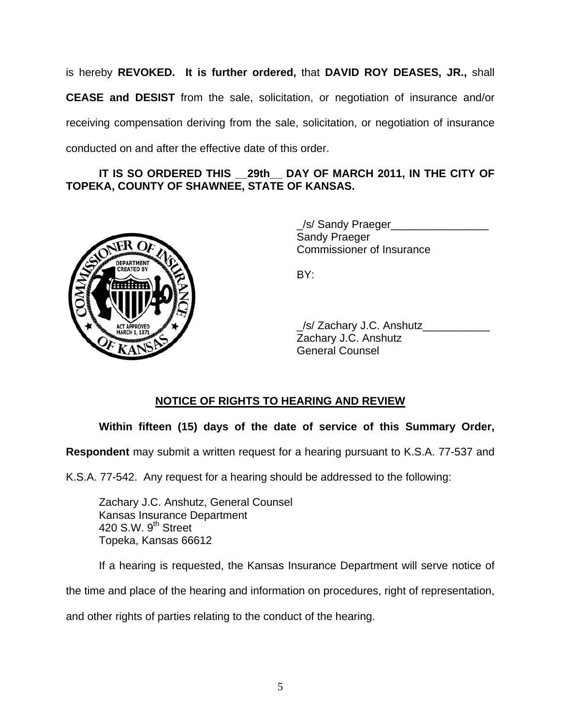is hereby **REVOKED. It is further ordered,** that **DAVID ROY DEASES, JR.,** shall **CEASE and DESIST** from the sale, solicitation, or negotiation of insurance and/or receiving compensation deriving from the sale, solicitation, or negotiation of insurance conducted on and after the effective date of this order.

### IT IS SO ORDERED THIS 29th DAY OF MARCH 2011, IN THE CITY OF **TOPEKA, COUNTY OF SHAWNEE, STATE OF KANSAS.**



 \_/s/ Sandy Praeger\_\_\_\_\_\_\_\_\_\_\_\_\_\_\_\_ Sandy Praeger Commissioner of Insurance

| ACTAPROVER A | /s/ Zachary J.C. Anshutz<br>Zachary J.C. Anshutz<br><b>General Counsel</b> |
|--------------|----------------------------------------------------------------------------|
|              |                                                                            |

# **NOTICE OF RIGHTS TO HEARING AND REVIEW**

## **Within fifteen (15) days of the date of service of this Summary Order,**

**Respondent** may submit a written request for a hearing pursuant to K.S.A. 77-537 and

K.S.A. 77-542. Any request for a hearing should be addressed to the following:

 Zachary J.C. Anshutz, General Counsel Kansas Insurance Department 420 S.W. 9<sup>th</sup> Street Topeka, Kansas 66612

If a hearing is requested, the Kansas Insurance Department will serve notice of

the time and place of the hearing and information on procedures, right of representation,

and other rights of parties relating to the conduct of the hearing.